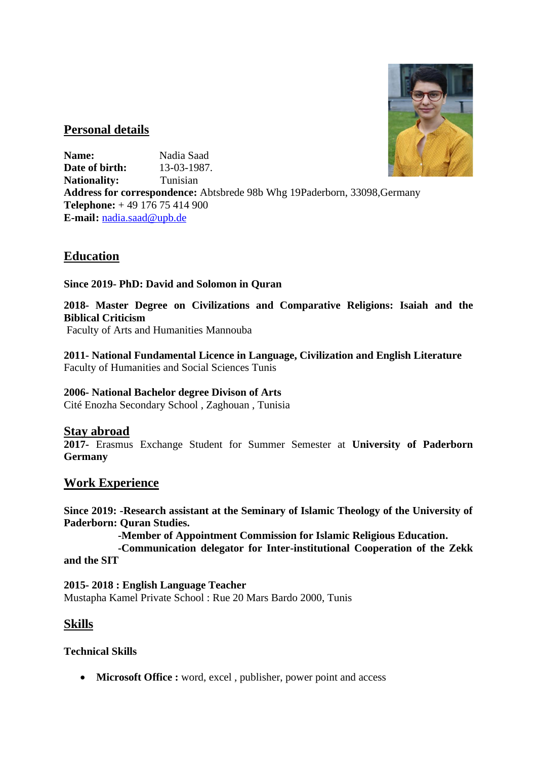

### **Personal details**

**Name:** Nadia Saad **Date of birth:** 13-03-1987. Nationality: Tunisian **Address for correspondence:** Abtsbrede 98b Whg 19Paderborn, 33098,Germany **Telephone:** + 49 176 75 414 900 **E-mail:** [nadia.saad@upb.de](mailto:nadia.saad@upb.de)

## **Education**

**Since 2019- PhD: David and Solomon in Quran**

**2018- Master Degree on Civilizations and Comparative Religions: Isaiah and the Biblical Criticism** 

Faculty of Arts and Humanities Mannouba

**2011- National Fundamental Licence in Language, Civilization and English Literature**  Faculty of Humanities and Social Sciences Tunis

#### **2006- National Bachelor degree Divison of Arts**

Cité Enozha Secondary School , Zaghouan , Tunisia

#### **Stay abroad**

**2017-** Erasmus Exchange Student for Summer Semester at **University of Paderborn Germany**

#### **Work Experience**

**Since 2019: -Research assistant at the Seminary of Islamic Theology of the University of Paderborn: Quran Studies.**

 **-Member of Appointment Commission for Islamic Religious Education.**

 **-Communication delegator for Inter-institutional Cooperation of the Zekk and the SIT**

**2015- 2018 : English Language Teacher**  Mustapha Kamel Private School : Rue 20 Mars Bardo 2000, Tunis

## **Skills**

**Technical Skills** 

• **Microsoft Office :** word, excel, publisher, power point and access